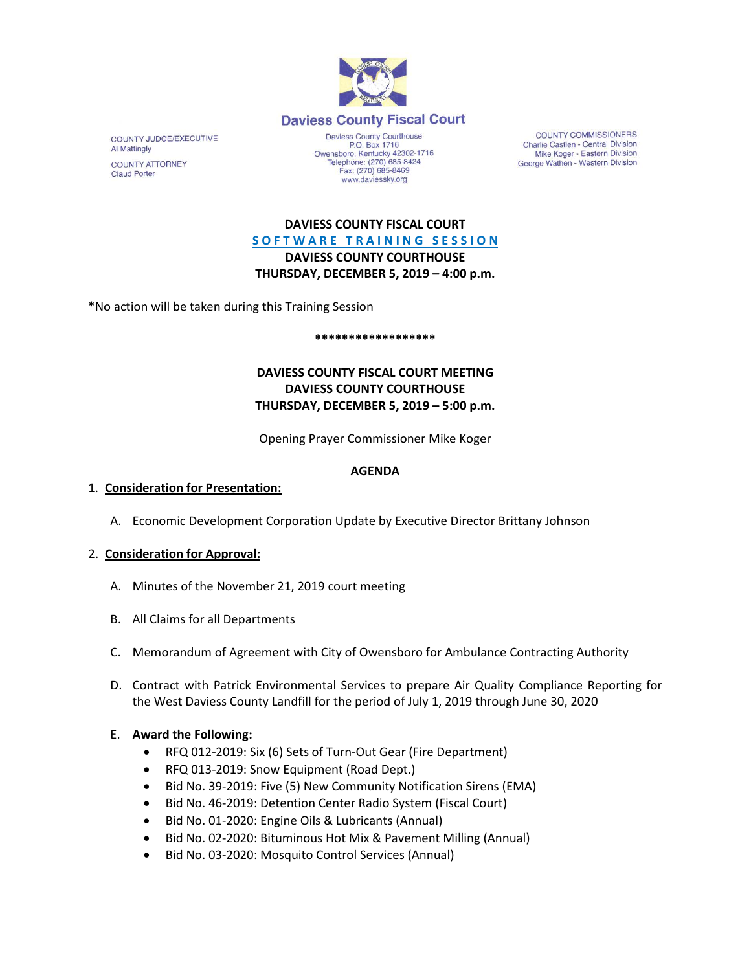

COUNTY JUDGE/EXECUTIVE **Al Mattingly** 

**COUNTY ATTORNEY Claud Porter** 

Daviess County Courthouse P.O. Box 1716 P.O. Box 1716<br>Owensboro, Kentucky 42302-1716<br>Telephone: (270) 685-8424 Fax: (270) 685-8469 www.daviessky.org

**COUNTY COMMISSIONERS** Charlie Castlen - Central Division Mike Koger - Eastern Division George Wathen - Western Division

**DAVIESS COUNTY FISCAL COURT S O F T W A R E T R A I N I N G S E S S I O N DAVIESS COUNTY COURTHOUSE THURSDAY, DECEMBER 5, 2019 – 4:00 p.m.** 

\*No action will be taken during this Training Session

#### **\*\*\*\*\*\*\*\*\*\*\*\*\*\*\*\*\*\***

# **DAVIESS COUNTY FISCAL COURT MEETING DAVIESS COUNTY COURTHOUSE THURSDAY, DECEMBER 5, 2019 – 5:00 p.m.**

Opening Prayer Commissioner Mike Koger

### **AGENDA**

## 1. **Consideration for Presentation:**

A. Economic Development Corporation Update by Executive Director Brittany Johnson

# 2. **Consideration for Approval:**

- A. Minutes of the November 21, 2019 court meeting
- B. All Claims for all Departments
- C. Memorandum of Agreement with City of Owensboro for Ambulance Contracting Authority
- D. Contract with Patrick Environmental Services to prepare Air Quality Compliance Reporting for the West Daviess County Landfill for the period of July 1, 2019 through June 30, 2020

# E. **Award the Following:**

- RFQ 012-2019: Six (6) Sets of Turn-Out Gear (Fire Department)
- RFQ 013-2019: Snow Equipment (Road Dept.)
- Bid No. 39-2019: Five (5) New Community Notification Sirens (EMA)
- Bid No. 46-2019: Detention Center Radio System (Fiscal Court)
- Bid No. 01-2020: Engine Oils & Lubricants (Annual)
- Bid No. 02-2020: Bituminous Hot Mix & Pavement Milling (Annual)
- Bid No. 03-2020: Mosquito Control Services (Annual)